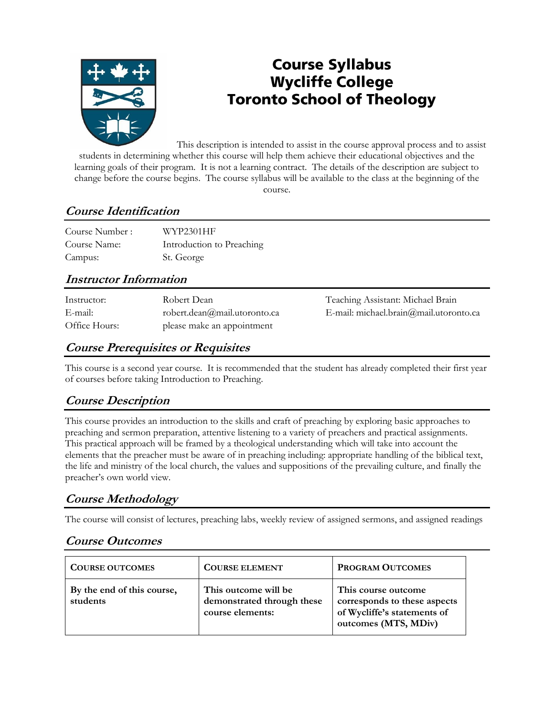

# **Course Syllabus Wycliffe College Toronto School of Theology**

This description is intended to assist in the course approval process and to assist students in determining whether this course will help them achieve their educational objectives and the learning goals of their program. It is not a learning contract. The details of the description are subject to change before the course begins. The course syllabus will be available to the class at the beginning of the course.

# **Course Identification**

| Course Number: | WYP2301HF                 |
|----------------|---------------------------|
| Course Name:   | Introduction to Preaching |
| Campus:        | St. George                |

### **Instructor Information**

| Instructor:   | Robert Dean                  |
|---------------|------------------------------|
| E-mail:       | robert.dean@mail.utoronto.ca |
| Office Hours: | please make an appointment   |

Teaching Assistant: Michael Brain E-mail: michael.brain@mail.utoronto.ca

# **Course Prerequisites or Requisites**

This course is a second year course. It is recommended that the student has already completed their first year of courses before taking Introduction to Preaching.

# **Course Description**

This course provides an introduction to the skills and craft of preaching by exploring basic approaches to preaching and sermon preparation, attentive listening to a variety of preachers and practical assignments. This practical approach will be framed by a theological understanding which will take into account the elements that the preacher must be aware of in preaching including: appropriate handling of the biblical text, the life and ministry of the local church, the values and suppositions of the prevailing culture, and finally the preacher's own world view.

# **Course Methodology**

The course will consist of lectures, preaching labs, weekly review of assigned sermons, and assigned readings

# **Course Outcomes**

| <b>COURSE OUTCOMES</b>                 | <b>COURSE ELEMENT</b>                                                  | <b>PROGRAM OUTCOMES</b>                                                                                    |
|----------------------------------------|------------------------------------------------------------------------|------------------------------------------------------------------------------------------------------------|
| By the end of this course,<br>students | This outcome will be<br>demonstrated through these<br>course elements: | This course outcome<br>corresponds to these aspects<br>of Wycliffe's statements of<br>outcomes (MTS, MDiv) |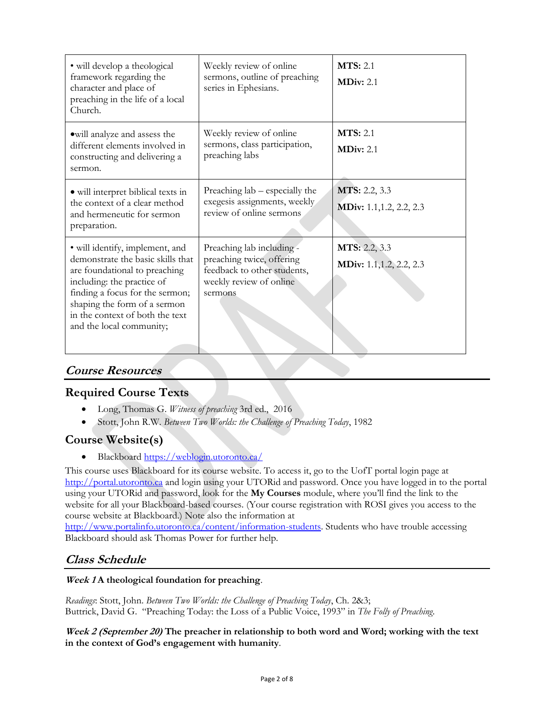| • will develop a theological<br>framework regarding the<br>character and place of<br>preaching in the life of a local<br>Church.                                                                                                                                      | Weekly review of online<br>sermons, outline of preaching<br>series in Ephesians.                                            | <b>MTS</b> : 2.1<br><b>MDiv: 2.1</b>             |
|-----------------------------------------------------------------------------------------------------------------------------------------------------------------------------------------------------------------------------------------------------------------------|-----------------------------------------------------------------------------------------------------------------------------|--------------------------------------------------|
| owill analyze and assess the<br>different elements involved in<br>constructing and delivering a<br>sermon.                                                                                                                                                            | Weekly review of online<br>sermons, class participation,<br>preaching labs                                                  | <b>MTS</b> : 2.1<br>MDiv: 2.1                    |
| • will interpret biblical texts in<br>the context of a clear method<br>and hermeneutic for sermon<br>preparation.                                                                                                                                                     | Preaching lab – especially the<br>exegesis assignments, weekly<br>review of online sermons                                  | <b>MTS:</b> 2.2, 3.3<br>MDiv: 1.1, 1.2, 2.2, 2.3 |
| • will identify, implement, and<br>demonstrate the basic skills that<br>are foundational to preaching<br>including: the practice of<br>finding a focus for the sermon;<br>shaping the form of a sermon<br>in the context of both the text<br>and the local community; | Preaching lab including -<br>preaching twice, offering<br>feedback to other students,<br>weekly review of online<br>sermons | MTS: 2.2, 3.3<br>MDiv: 1.1, 1.2, 2.2, 2.3        |

### **Course Resources**

### **Required Course Texts**

- Long, Thomas G. *Witness of preaching* 3rd ed., 2016
- Stott, John R.W. *Between Two Worlds: the Challenge of Preaching Today*, 1982

### **Course Website(s)**

Blackboard<https://weblogin.utoronto.ca/>

This course uses Blackboard for its course website. To access it, go to the UofT portal login page at [http://portal.utoronto.ca](http://portal.utoronto.ca/) and login using your UTORid and password. Once you have logged in to the portal using your UTORid and password, look for the **My Courses** module, where you'll find the link to the website for all your Blackboard-based courses. (Your course registration with ROSI gives you access to the course website at Blackboard.) Note also the information at

[http://www.portalinfo.utoronto.ca/content/information-students.](http://www.portalinfo.utoronto.ca/content/information-students) Students who have trouble accessing Blackboard should ask Thomas Power for further help.

### **Class Schedule**

### **Week 1 A theological foundation for preaching**.

*Readings*: Stott, John. *Between Two Worlds: the Challenge of Preaching Today*, Ch. 2&3; Buttrick, David G. "Preaching Today: the Loss of a Public Voice, 1993" in *The Folly of Preaching*.

**Week 2 (September 20) The preacher in relationship to both word and Word; working with the text in the context of God's engagement with humanity**.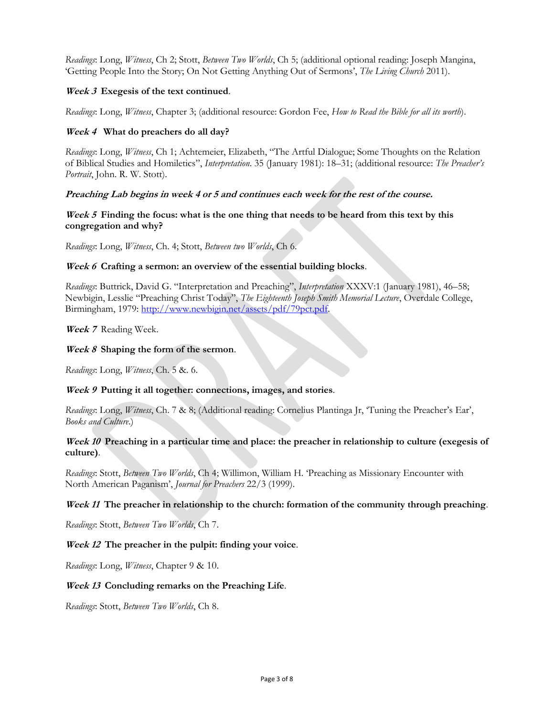*Readings*: Long, *Witness*, Ch 2; Stott, *Between Two Worlds*, Ch 5; (additional optional reading: Joseph Mangina, 'Getting People Into the Story; On Not Getting Anything Out of Sermons', *The Living Church* 2011).

#### **Week 3 Exegesis of the text continued**.

*Readings*: Long, *Witness*, Chapter 3; (additional resource: Gordon Fee, *How to Read the Bible for all its worth*).

#### **Week 4 What do preachers do all day?**

*Readings*: Long, *Witness*, Ch 1; Achtemeier, Elizabeth, "The Artful Dialogue; Some Thoughts on the Relation of Biblical Studies and Homiletics", *Interpretation*. 35 (January 1981): 18–31; (additional resource: *The Preacher's Portrait*, John. R. W. Stott).

#### **Preaching Lab begins in week 4 or 5 and continues each week for the rest of the course.**

#### **Week 5 Finding the focus: what is the one thing that needs to be heard from this text by this congregation and why?**

*Readings*: Long, *Witness*, Ch. 4; Stott, *Between two Worlds*, Ch 6.

#### **Week 6 Crafting a sermon: an overview of the essential building blocks**.

*Readings*: Buttrick, David G. "Interpretation and Preaching", *Interpretation* XXXV:1 (January 1981), 46–58; Newbigin, Lesslie "Preaching Christ Today", *The Eighteenth Joseph Smith Memorial Lecture*, Overdale College, Birmingham, 1979: [http://www.newbigin.net/assets/pdf/79pct.pdf.](http://www.newbigin.net/assets/pdf/79pct.pdf)

**Week 7** Reading Week.

#### **Week 8 Shaping the form of the sermon**.

*Readings*: Long, *Witness*, Ch. 5 &. 6.

#### **Week 9 Putting it all together: connections, images, and stories**.

*Readings*: Long, *Witness*, Ch. 7 & 8; (Additional reading: Cornelius Plantinga Jr, 'Tuning the Preacher's Ear', *Books and Culture*.)

#### **Week 10 Preaching in a particular time and place: the preacher in relationship to culture (exegesis of culture)**.

*Readings*: Stott, *Between Two Worlds*, Ch 4; Willimon, William H. 'Preaching as Missionary Encounter with North American Paganism', *Journal for Preachers* 22/3 (1999).

#### **Week 11 The preacher in relationship to the church: formation of the community through preaching**.

*Readings*: Stott, *Between Two Worlds*, Ch 7.

#### **Week 12 The preacher in the pulpit: finding your voice**.

*Readings*: Long, *Witness*, Chapter 9 & 10.

#### **Week 13 Concluding remarks on the Preaching Life**.

*Readings*: Stott, *Between Two Worlds*, Ch 8.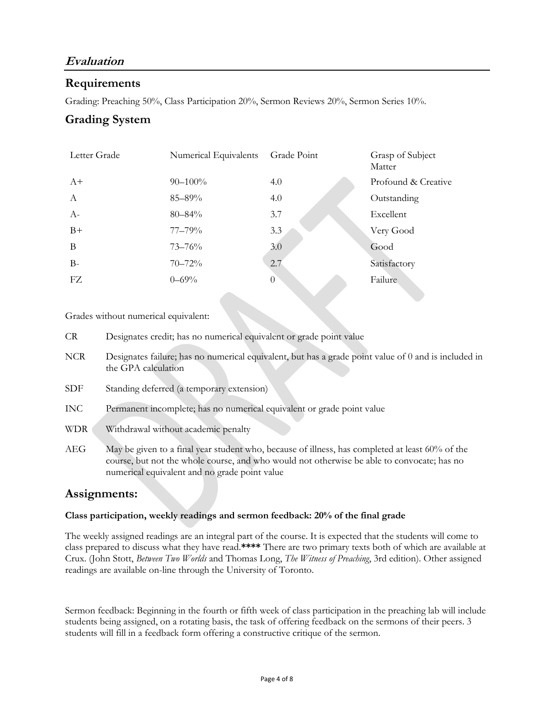# **Evaluation**

### **Requirements**

Grading: Preaching 50%, Class Participation 20%, Sermon Reviews 20%, Sermon Series 10%.

### **Grading System**

| Letter Grade | Numerical Equivalents Grade Point |          | Grasp of Subject<br>Matter |
|--------------|-----------------------------------|----------|----------------------------|
| $A+$         | $90 - 100\%$                      | 4.0      | Profound & Creative        |
| $\mathbf{A}$ | 85-89%                            | 4.0      | Outstanding                |
| $A-$         | $80 - 84\%$                       | 3.7      | Excellent                  |
| $B+$         | 77–79%                            | 3.3      | Very Good                  |
| B            | $73 - 76%$                        | 3.0      | Good                       |
| $B-$         | $70 - 72%$                        | 2.7      | Satisfactory               |
| FZ           | $0 - 69\%$                        | $\theta$ | Failure                    |

Grades without numerical equivalent:

- CR Designates credit; has no numerical equivalent or grade point value
- NCR Designates failure; has no numerical equivalent, but has a grade point value of 0 and is included in the GPA calculation
- SDF Standing deferred (a temporary extension)
- INC Permanent incomplete; has no numerical equivalent or grade point value
- WDR Withdrawal without academic penalty
- AEG May be given to a final year student who, because of illness, has completed at least 60% of the course, but not the whole course, and who would not otherwise be able to convocate; has no numerical equivalent and no grade point value

### **Assignments:**

#### **Class participation, weekly readings and sermon feedback: 20% of the final grade**

The weekly assigned readings are an integral part of the course. It is expected that the students will come to class prepared to discuss what they have read.**\*\*\*\*** There are two primary texts both of which are available at Crux. (John Stott, *Between Two Worlds* and Thomas Long, *The Witness of Preaching*, 3rd edition). Other assigned readings are available on-line through the University of Toronto.

Sermon feedback: Beginning in the fourth or fifth week of class participation in the preaching lab will include students being assigned, on a rotating basis, the task of offering feedback on the sermons of their peers. 3 students will fill in a feedback form offering a constructive critique of the sermon.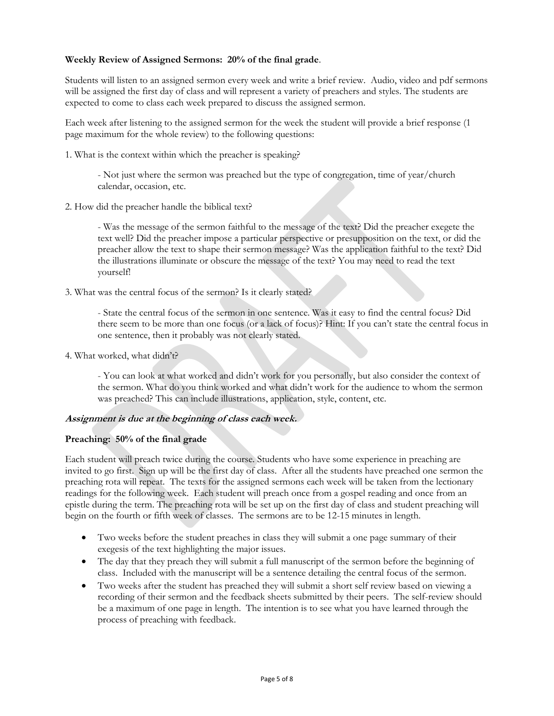### **Weekly Review of Assigned Sermons: 20% of the final grade**.

Students will listen to an assigned sermon every week and write a brief review. Audio, video and pdf sermons will be assigned the first day of class and will represent a variety of preachers and styles. The students are expected to come to class each week prepared to discuss the assigned sermon.

Each week after listening to the assigned sermon for the week the student will provide a brief response (1 page maximum for the whole review) to the following questions:

1. What is the context within which the preacher is speaking?

- Not just where the sermon was preached but the type of congregation, time of year/church calendar, occasion, etc.

2. How did the preacher handle the biblical text?

- Was the message of the sermon faithful to the message of the text? Did the preacher exegete the text well? Did the preacher impose a particular perspective or presupposition on the text, or did the preacher allow the text to shape their sermon message? Was the application faithful to the text? Did the illustrations illuminate or obscure the message of the text? You may need to read the text yourself!

3. What was the central focus of the sermon? Is it clearly stated?

- State the central focus of the sermon in one sentence. Was it easy to find the central focus? Did there seem to be more than one focus (or a lack of focus)? Hint: If you can't state the central focus in one sentence, then it probably was not clearly stated.

4. What worked, what didn't?

- You can look at what worked and didn't work for you personally, but also consider the context of the sermon. What do you think worked and what didn't work for the audience to whom the sermon was preached? This can include illustrations, application, style, content, etc.

### **Assignment is due at the beginning of class each week.**

#### **Preaching: 50% of the final grade**

Each student will preach twice during the course. Students who have some experience in preaching are invited to go first. Sign up will be the first day of class. After all the students have preached one sermon the preaching rota will repeat. The texts for the assigned sermons each week will be taken from the lectionary readings for the following week. Each student will preach once from a gospel reading and once from an epistle during the term. The preaching rota will be set up on the first day of class and student preaching will begin on the fourth or fifth week of classes. The sermons are to be 12-15 minutes in length.

- Two weeks before the student preaches in class they will submit a one page summary of their exegesis of the text highlighting the major issues.
- The day that they preach they will submit a full manuscript of the sermon before the beginning of class. Included with the manuscript will be a sentence detailing the central focus of the sermon.
- Two weeks after the student has preached they will submit a short self review based on viewing a recording of their sermon and the feedback sheets submitted by their peers. The self-review should be a maximum of one page in length. The intention is to see what you have learned through the process of preaching with feedback.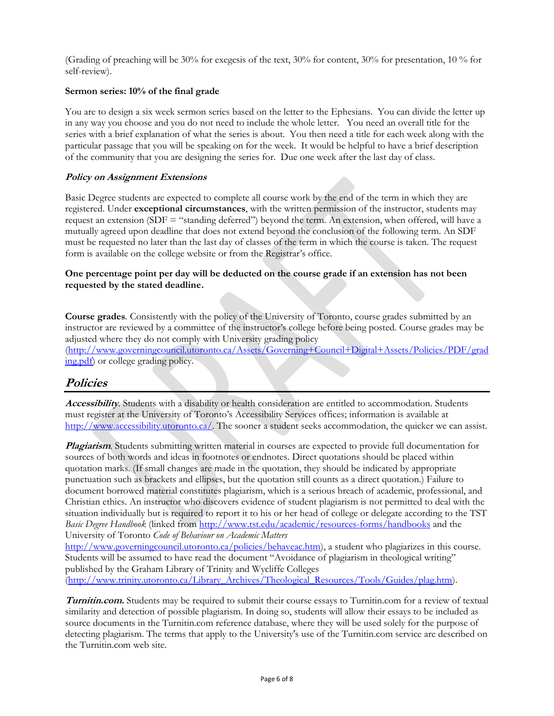(Grading of preaching will be 30% for exegesis of the text, 30% for content, 30% for presentation, 10 % for self-review).

#### **Sermon series: 10% of the final grade**

You are to design a six week sermon series based on the letter to the Ephesians. You can divide the letter up in any way you choose and you do not need to include the whole letter. You need an overall title for the series with a brief explanation of what the series is about. You then need a title for each week along with the particular passage that you will be speaking on for the week. It would be helpful to have a brief description of the community that you are designing the series for. Due one week after the last day of class.

#### **Policy on Assignment Extensions**

Basic Degree students are expected to complete all course work by the end of the term in which they are registered. Under **exceptional circumstances**, with the written permission of the instructor, students may request an extension (SDF = "standing deferred") beyond the term. An extension, when offered, will have a mutually agreed upon deadline that does not extend beyond the conclusion of the following term. An SDF must be requested no later than the last day of classes of the term in which the course is taken. The request form is available on the college website or from the Registrar's office.

#### **One percentage point per day will be deducted on the course grade if an extension has not been requested by the stated deadline.**

**Course grades***.* Consistently with the policy of the University of Toronto, course grades submitted by an instructor are reviewed by a committee of the instructor's college before being posted. Course grades may be adjusted where they do not comply with University grading policy [\(http://www.governingcouncil.utoronto.ca/Assets/Governing+Council+Digital+Assets/Policies/PDF/grad](http://www.governingcouncil.utoronto.ca/Assets/Governing+Council+Digital+Assets/Policies/PDF/grading.pdf)

[ing.pdf\)](http://www.governingcouncil.utoronto.ca/Assets/Governing+Council+Digital+Assets/Policies/PDF/grading.pdf) or college grading policy.

### **Policies**

**Accessibility***.* Students with a disability or health consideration are entitled to accommodation. Students must register at the University of Toronto's Accessibility Services offices; information is available at [http://www.accessibility.utoronto.ca/.](http://www.accessibility.utoronto.ca/) The sooner a student seeks accommodation, the quicker we can assist.

**Plagiarism**. Students submitting written material in courses are expected to provide full documentation for sources of both words and ideas in footnotes or endnotes. Direct quotations should be placed within quotation marks. (If small changes are made in the quotation, they should be indicated by appropriate punctuation such as brackets and ellipses, but the quotation still counts as a direct quotation.) Failure to document borrowed material constitutes plagiarism, which is a serious breach of academic, professional, and Christian ethics. An instructor who discovers evidence of student plagiarism is not permitted to deal with the situation individually but is required to report it to his or her head of college or delegate according to the TST *Basic Degree Handbook* (linked from<http://www.tst.edu/academic/resources-forms/handbooks> and the University of Toronto *Code of Behaviour on Academic Matters*

[http://www.governingcouncil.utoronto.ca/policies/behaveac.htm\)](http://www.governingcouncil.utoronto.ca/policies/behaveac.htm), a student who plagiarizes in this course. Students will be assumed to have read the document "Avoidance of plagiarism in theological writing" published by the Graham Library of Trinity and Wycliffe Colleges [\(http://www.trinity.utoronto.ca/Library\\_Archives/Theological\\_Resources/Tools/Guides/plag.htm\)](http://www.trinity.utoronto.ca/Library_Archives/Theological_Resources/Tools/Guides/plag.htm).

**Turnitin.com.** Students may be required to submit their course essays to Turnitin.com for a review of textual similarity and detection of possible plagiarism. In doing so, students will allow their essays to be included as source documents in the Turnitin.com reference database, where they will be used solely for the purpose of detecting plagiarism. The terms that apply to the University's use of the Turnitin.com service are described on the Turnitin.com web site.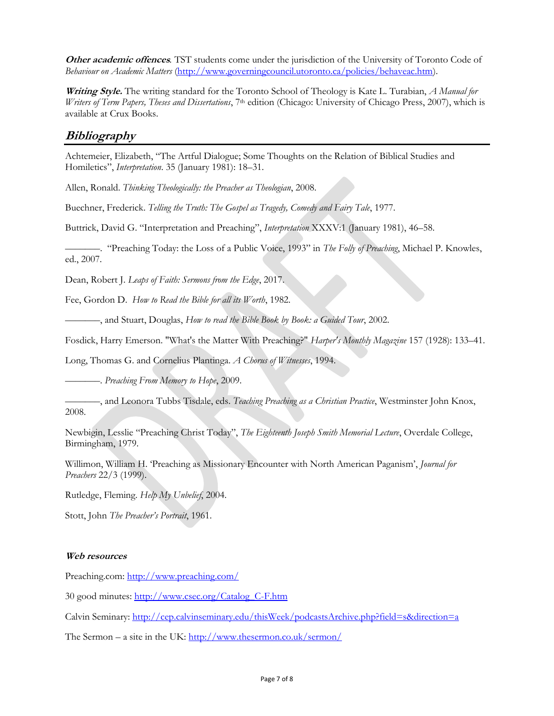**Other academic offences***.* TST students come under the jurisdiction of the University of Toronto Code of *Behaviour on Academic Matters* [\(http://www.governingcouncil.utoronto.ca/policies/behaveac.htm\)](http://www.governingcouncil.utoronto.ca/policies/behaveac.htm).

**Writing Style.** The writing standard for the Toronto School of Theology is Kate L. Turabian, *A Manual for Writers of Term Papers, Theses and Dissertations*, 7th edition (Chicago: University of Chicago Press, 2007), which is available at Crux Books.

### **Bibliography**

Achtemeier, Elizabeth, "The Artful Dialogue; Some Thoughts on the Relation of Biblical Studies and Homiletics", *Interpretation*. 35 (January 1981): 18–31.

Allen, Ronald. *Thinking Theologically: the Preacher as Theologian*, 2008.

Buechner, Frederick. *Telling the Truth: The Gospel as Tragedy, Comedy and Fairy Tale*, 1977.

Buttrick, David G. "Interpretation and Preaching", *Interpretation* XXXV:1 (January 1981), 46–58.

–––––––. "Preaching Today: the Loss of a Public Voice, 1993" in *The Folly of Preaching*, Michael P. Knowles, ed., 2007.

Dean, Robert J. *Leaps of Faith: Sermons from the Edge*, 2017.

Fee, Gordon D. *How to Read the Bible for all its Worth*, 1982.

–––––––, and Stuart, Douglas, *How to read the Bible Book by Book: a Guided Tour*, 2002.

Fosdick, Harry Emerson. "What's the Matter With Preaching?" *Harper's Monthly Magazine* 157 (1928): 133–41.

Long, Thomas G. and Cornelius Plantinga. *A Chorus of Witnesses*, 1994.

–––––––. *Preaching From Memory to Hope*, 2009.

–––––––, and Leonora Tubbs Tisdale, eds. *Teaching Preaching as a Christian Practice*, Westminster John Knox, 2008.

Newbigin, Lesslie "Preaching Christ Today", *The Eighteenth Joseph Smith Memorial Lecture*, Overdale College, Birmingham, 1979.

Willimon, William H. 'Preaching as Missionary Encounter with North American Paganism', *Journal for Preachers* 22/3 (1999).

Rutledge, Fleming. *Help My Unbelief*, 2004.

Stott, John *The Preacher's Portrait*, 1961.

#### **Web resources**

Preaching.com: <http://www.preaching.com/>

30 good minutes: [http://www.csec.org/Catalog\\_C-F.htm](http://www.csec.org/Catalog_C-F.htm)

Calvin Seminary:<http://cep.calvinseminary.edu/thisWeek/podcastsArchive.php?field=s&direction=a>

The Sermon – a site in the UK: <http://www.thesermon.co.uk/sermon/>